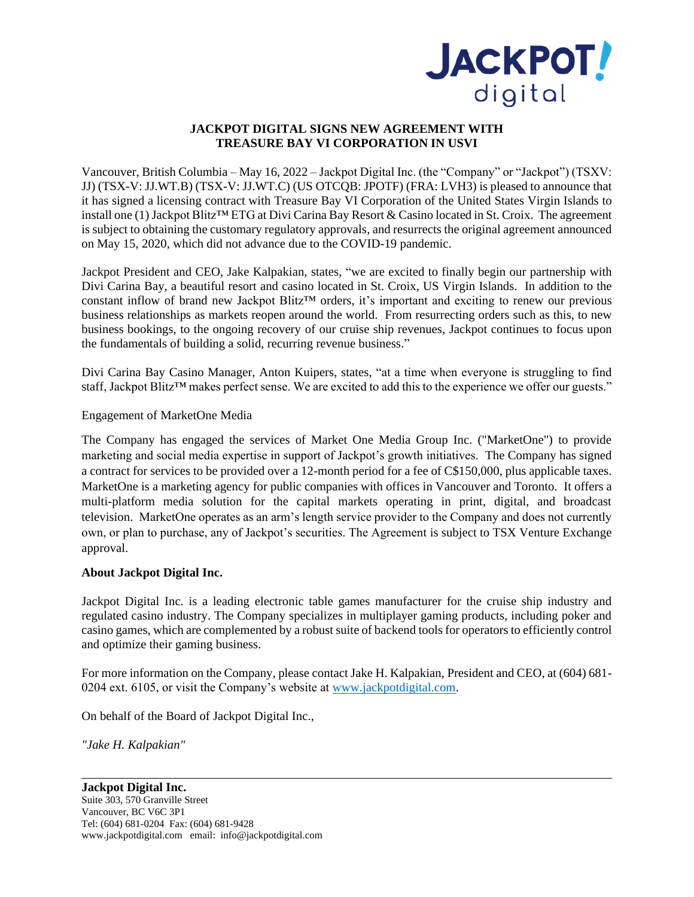

## **JACKPOT DIGITAL SIGNS NEW AGREEMENT WITH TREASURE BAY VI CORPORATION IN USVI**

Vancouver, British Columbia – May 16, 2022 – Jackpot Digital Inc. (the "Company" or "Jackpot") (TSXV: JJ) (TSX-V: JJ.WT.B) (TSX-V: JJ.WT.C) (US OTCQB: JPOTF) (FRA: LVH3) is pleased to announce that it has signed a licensing contract with Treasure Bay VI Corporation of the United States Virgin Islands to install one (1) Jackpot Blitz™ ETG at Divi Carina Bay Resort & Casino located in St. Croix. The agreement is subject to obtaining the customary regulatory approvals, and resurrects the original agreement announced on May 15, 2020, which did not advance due to the COVID-19 pandemic.

Jackpot President and CEO, Jake Kalpakian, states, "we are excited to finally begin our partnership with Divi Carina Bay, a beautiful resort and casino located in St. Croix, US Virgin Islands. In addition to the constant inflow of brand new Jackpot Blitz™ orders, it's important and exciting to renew our previous business relationships as markets reopen around the world. From resurrecting orders such as this, to new business bookings, to the ongoing recovery of our cruise ship revenues, Jackpot continues to focus upon the fundamentals of building a solid, recurring revenue business."

Divi Carina Bay Casino Manager, Anton Kuipers, states, "at a time when everyone is struggling to find staff, Jackpot Blitz<sup>™</sup> makes perfect sense. We are excited to add this to the experience we offer our guests."

## Engagement of MarketOne Media

The Company has engaged the services of Market One Media Group Inc. ("MarketOne") to provide marketing and social media expertise in support of Jackpot's growth initiatives. The Company has signed a contract for services to be provided over a 12-month period for a fee of C\$150,000, plus applicable taxes. MarketOne is a marketing agency for public companies with offices in Vancouver and Toronto. It offers a multi-platform media solution for the capital markets operating in print, digital, and broadcast television. MarketOne operates as an arm's length service provider to the Company and does not currently own, or plan to purchase, any of Jackpot's securities. The Agreement is subject to TSX Venture Exchange approval.

## **About Jackpot Digital Inc.**

Jackpot Digital Inc. is a leading electronic table games manufacturer for the cruise ship industry and regulated casino industry. The Company specializes in multiplayer gaming products, including poker and casino games, which are complemented by a robust suite of backend tools for operators to efficiently control and optimize their gaming business.

For more information on the Company, please contact Jake H. Kalpakian, President and CEO, at (604) 681- 0204 ext. 6105, or visit the Company's website at [www.jackpotdigital.com.](http://www.jackpotdigital.com/)

On behalf of the Board of Jackpot Digital Inc.,

*"Jake H. Kalpakian"*